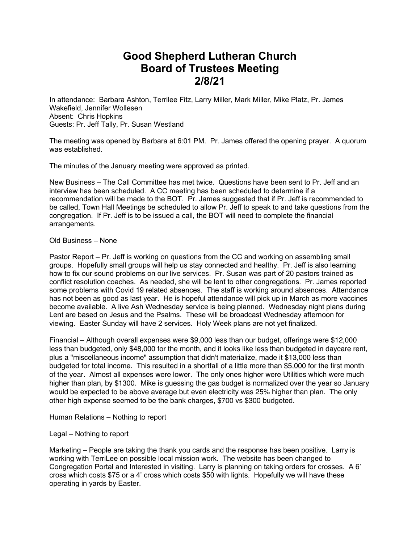## **Good Shepherd Lutheran Church Board of Trustees Meeting 2/8/21**

In attendance: Barbara Ashton, Terrilee Fitz, Larry Miller, Mark Miller, Mike Platz, Pr. James Wakefield, Jennifer Wollesen Absent: Chris Hopkins Guests: Pr. Jeff Tally, Pr. Susan Westland

The meeting was opened by Barbara at 6:01 PM. Pr. James offered the opening prayer. A quorum was established.

The minutes of the January meeting were approved as printed.

New Business – The Call Committee has met twice. Questions have been sent to Pr. Jeff and an interview has been scheduled. A CC meeting has been scheduled to determine if a recommendation will be made to the BOT. Pr. James suggested that if Pr. Jeff is recommended to be called, Town Hall Meetings be scheduled to allow Pr. Jeff to speak to and take questions from the congregation. If Pr. Jeff is to be issued a call, the BOT will need to complete the financial arrangements.

## Old Business – None

Pastor Report – Pr. Jeff is working on questions from the CC and working on assembling small groups. Hopefully small groups will help us stay connected and healthy. Pr. Jeff is also learning how to fix our sound problems on our live services. Pr. Susan was part of 20 pastors trained as conflict resolution coaches. As needed, she will be lent to other congregations. Pr. James reported some problems with Covid 19 related absences. The staff is working around absences. Attendance has not been as good as last year. He is hopeful attendance will pick up in March as more vaccines become available. A live Ash Wednesday service is being planned. Wednesday night plans during Lent are based on Jesus and the Psalms. These will be broadcast Wednesday afternoon for viewing. Easter Sunday will have 2 services. Holy Week plans are not yet finalized.

Financial – Although overall expenses were \$9,000 less than our budget, offerings were \$12,000 less than budgeted, only \$48,000 for the month, and it looks like less than budgeted in daycare rent, plus a "miscellaneous income" assumption that didn't materialize, made it \$13,000 less than budgeted for total income. This resulted in a shortfall of a little more than \$5,000 for the first month of the year. Almost all expenses were lower. The only ones higher were Utilities which were much higher than plan, by \$1300. Mike is guessing the gas budget is normalized over the year so January would be expected to be above average but even electricity was 25% higher than plan. The only other high expense seemed to be the bank charges, \$700 vs \$300 budgeted.

Human Relations – Nothing to report

## Legal – Nothing to report

Marketing – People are taking the thank you cards and the response has been positive. Larry is working with TerriLee on possible local mission work. The website has been changed to Congregation Portal and Interested in visiting. Larry is planning on taking orders for crosses. A 6' cross which costs \$75 or a 4' cross which costs \$50 with lights. Hopefully we will have these operating in yards by Easter.